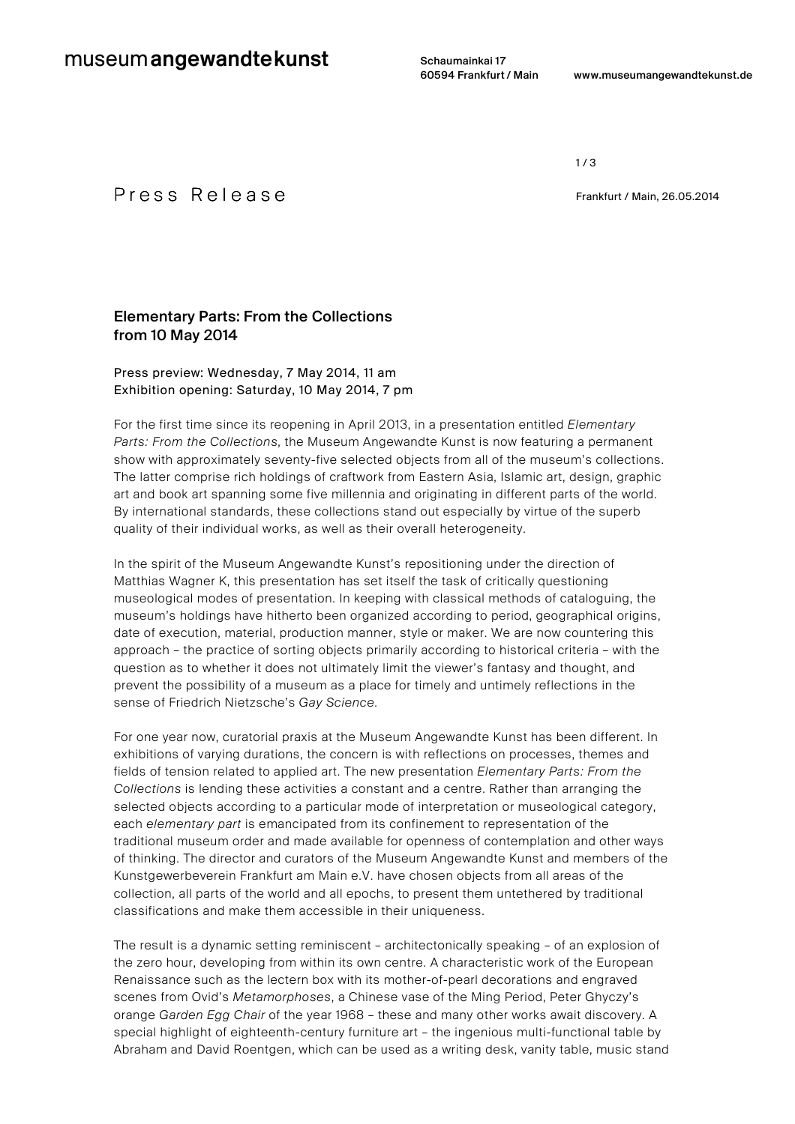Schaumainkai 17

 $1/3$ 

## P r e s s R e l e a s e e e e Frankfurt / Main, 26.05.2014

## Elementary Parts: From the Collections from 10 May 2014

### Press preview: Wednesday, 7 May 2014, 11 am Exhibition opening: Saturday, 10 May 2014, 7 pm

For the first time since its reopening in April 2013, in a presentation entitled *Elementary Parts: From the Collections*, the Museum Angewandte Kunst is now featuring a permanent show with approximately seventy-five selected objects from all of the museum's collections. The latter comprise rich holdings of craftwork from Eastern Asia, Islamic art, design, graphic art and book art spanning some five millennia and originating in different parts of the world. By international standards, these collections stand out especially by virtue of the superb quality of their individual works, as well as their overall heterogeneity.

In the spirit of the Museum Angewandte Kunst's repositioning under the direction of Matthias Wagner K, this presentation has set itself the task of critically questioning museological modes of presentation. In keeping with classical methods of cataloguing, the museum's holdings have hitherto been organized according to period, geographical origins, date of execution, material, production manner, style or maker. We are now countering this approach – the practice of sorting objects primarily according to historical criteria – with the question as to whether it does not ultimately limit the viewer's fantasy and thought, and prevent the possibility of a museum as a place for timely and untimely reflections in the sense of Friedrich Nietzsche's *Gay Science*.

For one year now, curatorial praxis at the Museum Angewandte Kunst has been different. In exhibitions of varying durations, the concern is with reflections on processes, themes and fields of tension related to applied art. The new presentation *Elementary Parts: From the Collections* is lending these activities a constant and a centre. Rather than arranging the selected objects according to a particular mode of interpretation or museological category, each *elementary part* is emancipated from its confinement to representation of the traditional museum order and made available for openness of contemplation and other ways of thinking. The director and curators of the Museum Angewandte Kunst and members of the Kunstgewerbeverein Frankfurt am Main e.V. have chosen objects from all areas of the collection, all parts of the world and all epochs, to present them untethered by traditional classifications and make them accessible in their uniqueness.

The result is a dynamic setting reminiscent – architectonically speaking – of an explosion of the zero hour, developing from within its own centre. A characteristic work of the European Renaissance such as the lectern box with its mother-of-pearl decorations and engraved scenes from Ovid's *Metamorphoses*, a Chinese vase of the Ming Period, Peter Ghyczy's orange *Garden Egg Chair* of the year 1968 – these and many other works await discovery. A special highlight of eighteenth-century furniture art – the ingenious multi-functional table by Abraham and David Roentgen, which can be used as a writing desk, vanity table, music stand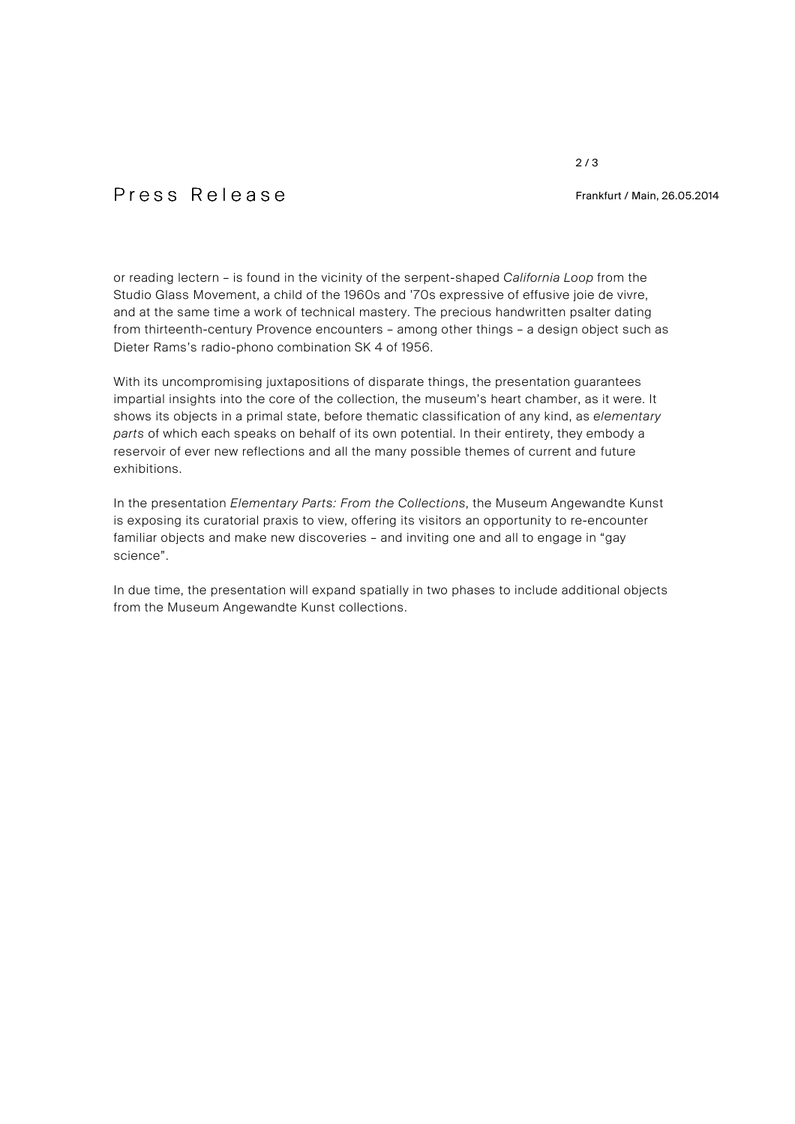2 / 3

# P r e s s R e l e a s e l e e s s R e l e a s e l e e Frankfurt / Main, 26.05.2014

or reading lectern – is found in the vicinity of the serpent-shaped *California Loop* from the Studio Glass Movement, a child of the 1960s and '70s expressive of effusive joie de vivre, and at the same time a work of technical mastery. The precious handwritten psalter dating from thirteenth-century Provence encounters – among other things – a design object such as Dieter Rams's radio-phono combination SK 4 of 1956.

With its uncompromising juxtapositions of disparate things, the presentation guarantees impartial insights into the core of the collection, the museum's heart chamber, as it were. It shows its objects in a primal state, before thematic classification of any kind, as *elementary parts* of which each speaks on behalf of its own potential. In their entirety, they embody a reservoir of ever new reflections and all the many possible themes of current and future exhibitions.

In the presentation *Elementary Parts: From the Collections*, the Museum Angewandte Kunst is exposing its curatorial praxis to view, offering its visitors an opportunity to re-encounter familiar objects and make new discoveries – and inviting one and all to engage in "gay science".

In due time, the presentation will expand spatially in two phases to include additional objects from the Museum Angewandte Kunst collections.